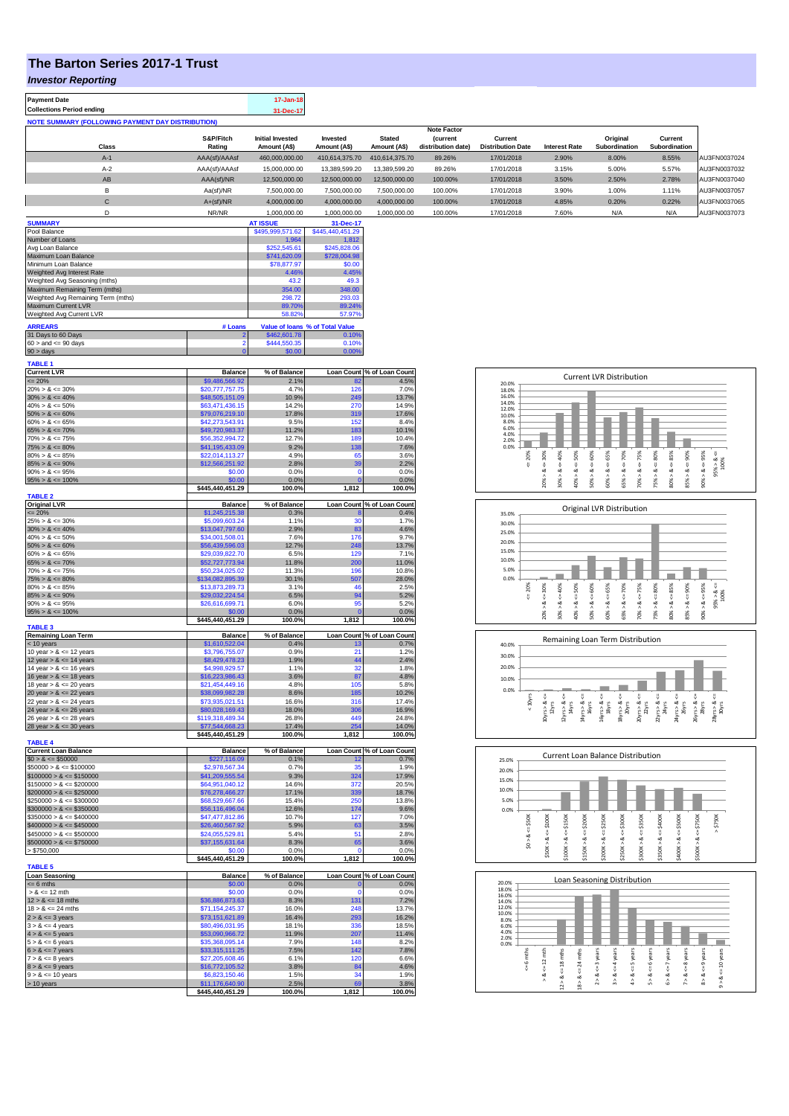## **The Barton Series 2017-1 Trust**

*Investor Reporting*

| <b>Payment Date</b><br><b>Collections Period ending</b>   |                                     | 17-Jan-18                      |                                 |                                    |                              |                                        |                                                                             |                                                                                |                                                                        |                                               |
|-----------------------------------------------------------|-------------------------------------|--------------------------------|---------------------------------|------------------------------------|------------------------------|----------------------------------------|-----------------------------------------------------------------------------|--------------------------------------------------------------------------------|------------------------------------------------------------------------|-----------------------------------------------|
| <b>NOTE SUMMARY (FOLLOWING PAYMENT DAY DISTRIBUTION)</b>  |                                     | 31-Dec-17                      |                                 |                                    |                              |                                        |                                                                             |                                                                                |                                                                        |                                               |
|                                                           |                                     |                                |                                 |                                    | <b>Note Factor</b>           |                                        |                                                                             |                                                                                |                                                                        |                                               |
|                                                           | S&P/Fitch                           | <b>Initial Invested</b>        | Invested                        | <b>Stated</b><br>Amount (A\$)      | (current                     | Current                                |                                                                             | Original                                                                       | Current<br>Subordination                                               |                                               |
| Class<br>$A-1$                                            | Rating<br>AAA(sf)/AAAsf             | Amount (A\$)<br>460,000,000.00 | Amount (A\$)<br>410,614,375.70  | 410,614,375.70                     | distribution date)<br>89.26% | <b>Distribution Date</b><br>17/01/2018 | <b>Interest Rate</b><br>2.90%                                               | Subordination<br>8.00%                                                         | 8.55%                                                                  | AU3FN0037024                                  |
| $A-2$                                                     | AAA(sf)/AAAsf                       | 15,000,000.00                  | 13,389,599.20                   | 13,389,599.20                      | 89.26%                       | 17/01/2018                             | 3.15%                                                                       | 5.00%                                                                          | 5.57%                                                                  | AU3FN0037032                                  |
| AB                                                        | AAA(sf)/NR                          | 12,500,000.00                  | 12,500,000.00                   | 12,500,000.00                      | 100.00%                      | 17/01/2018                             | 3.50%                                                                       | 2.50%                                                                          | 2.78%                                                                  | AU3FN0037040                                  |
| в                                                         | Aa(sf)/NR                           | 7,500,000.00                   | 7,500,000.00                    | 7,500,000.00                       | 100.00%                      | 17/01/2018                             | 3.90%                                                                       | 1.00%                                                                          | 1.11%                                                                  | AU3FN0037057                                  |
| $\mathbf C$                                               | $A+(sf)/NR$                         | 4,000,000.00                   | 4,000,000.00                    | 4,000,000.00                       | 100.00%                      | 17/01/2018                             | 4.85%                                                                       | 0.20%                                                                          | 0.22%                                                                  | AU3FN0037065                                  |
| D                                                         | NR/NR                               | 1,000,000.00                   | 1,000,000.00                    | 1,000,000.00                       | 100.00%                      | 17/01/2018                             | 7.60%                                                                       | N/A                                                                            | N/A                                                                    | AU3FN0037073                                  |
| <b>SUMMARY</b>                                            |                                     | <b>AT ISSUE</b>                | 31-Dec-17                       |                                    |                              |                                        |                                                                             |                                                                                |                                                                        |                                               |
| Pool Balance                                              |                                     | \$495,999,571.62               | \$445,440,451.29                |                                    |                              |                                        |                                                                             |                                                                                |                                                                        |                                               |
| Number of Loans<br>Avg Loan Balance                       |                                     | 1,964<br>\$252,545.61          | 1,812<br>\$245,828.06           |                                    |                              |                                        |                                                                             |                                                                                |                                                                        |                                               |
| Maximum Loan Balance                                      |                                     | \$741,620.09                   | \$728,004.98                    |                                    |                              |                                        |                                                                             |                                                                                |                                                                        |                                               |
| Minimum Loan Balance<br>Weighted Avg Interest Rate        |                                     | \$78,877.97<br>4.46%           | \$0.00<br>4.45%                 |                                    |                              |                                        |                                                                             |                                                                                |                                                                        |                                               |
| Weighted Avg Seasoning (mths)                             |                                     | 43.2                           | 49.3                            |                                    |                              |                                        |                                                                             |                                                                                |                                                                        |                                               |
| Maximum Remaining Term (mths)                             |                                     | 354.00                         | 348.00                          |                                    |                              |                                        |                                                                             |                                                                                |                                                                        |                                               |
| Weighted Avg Remaining Term (mths)<br>Maximum Current LVR |                                     | 298.72<br>89.70%               | 293.03<br>89.24%                |                                    |                              |                                        |                                                                             |                                                                                |                                                                        |                                               |
| Weighted Avg Current LVR                                  |                                     | 58.82%                         | 57.97%                          |                                    |                              |                                        |                                                                             |                                                                                |                                                                        |                                               |
| <b>ARREARS</b>                                            | # Loans                             |                                | Value of loans % of Total Value |                                    |                              |                                        |                                                                             |                                                                                |                                                                        |                                               |
| 31 Days to 60 Days                                        |                                     | \$462,601.78                   | 0.10%                           |                                    |                              |                                        |                                                                             |                                                                                |                                                                        |                                               |
| $60 >$ and $\leq 90$ days                                 |                                     | \$444,550.35<br>\$0.00         | 0.10%<br>0.00%                  |                                    |                              |                                        |                                                                             |                                                                                |                                                                        |                                               |
| 90 > days                                                 |                                     |                                |                                 |                                    |                              |                                        |                                                                             |                                                                                |                                                                        |                                               |
| <b>TABLE 1</b><br><b>Current LVR</b>                      | <b>Balance</b>                      | % of Balance                   |                                 | Loan Count % of Loan Count         |                              |                                        |                                                                             |                                                                                |                                                                        |                                               |
| $= 20%$                                                   | \$9,486,566.92                      | 2.1%                           | -82                             | 4.5%                               |                              | 20.0%                                  |                                                                             | <b>Current LVR Distribution</b>                                                |                                                                        |                                               |
| $20\% > 8 \le 30\%$                                       | \$20,777,757.75                     | 4.7%                           | 126                             | 7.0%                               |                              | 18.0%                                  |                                                                             |                                                                                |                                                                        |                                               |
| $30\% > 8 \le 40\%$                                       | \$48,505,151.09                     | 10.9%<br>14.2%                 | 249                             | 13.7%                              |                              | 16.0%<br>14.0%                         |                                                                             |                                                                                |                                                                        |                                               |
| $40\% > 8 \le 50\%$<br>$50\% > 8 \le 60\%$                | \$63,471,436.15<br>\$79,076,219.10  | 17.8%                          | 270<br>319                      | 14.9%<br>17.6%                     |                              | 12.0%<br>10.0%                         |                                                                             |                                                                                |                                                                        |                                               |
| $60\% > 8 \le 65\%$                                       | \$42,273,543.91                     | 9.5%                           | 152                             | 8.4%                               |                              | 8.0%                                   |                                                                             |                                                                                |                                                                        |                                               |
| $65\% > 8 \le 70\%$                                       | \$49,720,983.37                     | 11.2%                          | 183                             | 10.1%                              |                              | 6.0%<br>4.0%                           |                                                                             |                                                                                |                                                                        |                                               |
| $70\% > 8 \le 75\%$<br>$75\% > 8 \le 80\%$                | \$56,352,994.72<br>\$41,195,433.09  | 12.7%<br>9.2%                  | 189<br>130                      | 10.4%<br>7.6%                      |                              | 2.0%<br>0.0%                           |                                                                             |                                                                                |                                                                        |                                               |
| $80\% > 8 \le 85\%$                                       | \$22,014,113.27                     | 4.9%                           | 65                              | 3.6%                               |                              | 20%                                    | 30%<br>40%<br>50%                                                           | 60%<br>65%<br>70%<br>75%                                                       | $<=85\%$<br>80%                                                        |                                               |
| $85\% > 8 \le 90\%$                                       | \$12,566,251.92                     | 2.8%                           | 39                              | 2.2%                               |                              | ₩                                      | V<br>V                                                                      | Ÿ<br>Ÿ<br>V<br>V                                                               | V                                                                      | $95\% > 8 \le$<br>100%                        |
| $90\% > 8 \le 95\%$<br>$95\% > 8 \le 100\%$               | \$0.00<br>\$0.00                    | 0.0%<br>0.0%                   | $\Omega$                        | 0.0%<br>0.0%                       |                              |                                        | 20% > 8.<br>40% > 8.<br>×                                                   | 50% > 8<br>$\stackrel{\mathtt{ad}}{\scriptstyle\wedge}$<br>65% > 8.<br>70% > 8 | $85\% > 8 \Leftarrow 90\%$<br>75% > 8.<br>$\underset{\wedge}{\bowtie}$ | $90\% > 8 <= 95\%$                            |
|                                                           | \$445,440,451.29                    | 100.0%                         | 1,812                           | 100.0%                             |                              |                                        | 30%                                                                         | 60%                                                                            | 80%                                                                    |                                               |
| <b>TABLE 2</b>                                            |                                     |                                |                                 |                                    |                              |                                        |                                                                             |                                                                                |                                                                        |                                               |
| <b>Original LVR</b><br>$= 20%$                            | <b>Balance</b><br>\$1,245,215.38    | % of Balance<br>0.3%           |                                 | Loan Count % of Loan Count<br>0.4% |                              |                                        |                                                                             | Original LVR Distribution                                                      |                                                                        |                                               |
| $25\% > 8 \le 30\%$                                       | \$5,099,603.24                      | 1.1%                           | 30                              | 1.7%                               |                              | 35.0%<br>30.0%                         |                                                                             |                                                                                |                                                                        |                                               |
| $30\% > 8 \le 40\%$                                       | \$13,047,797.60                     | 2.9%                           | 83                              | 4.6%                               |                              | 25.0%                                  |                                                                             |                                                                                |                                                                        |                                               |
| $40\% > 8 \le 50\%$                                       | \$34,001,508.01                     | 7.6%                           | 176                             | 9.7%                               |                              | 20.0%                                  |                                                                             |                                                                                |                                                                        |                                               |
| $50\% > 8 \le 60\%$<br>$60\% > 8 \le 65\%$                | \$56,439,596.03<br>\$29,039,822.70  | 12.7%<br>6.5%                  | 248<br>129                      | 13.7%<br>7.1%                      |                              | 15.0%                                  |                                                                             |                                                                                |                                                                        |                                               |
| $65\% > 8 \le 70\%$                                       | \$52,727,773.94                     | 11.8%                          | 200                             | 11.0%                              |                              | 10.0%                                  |                                                                             |                                                                                |                                                                        |                                               |
| $70\% > 8 \le 75\%$                                       | \$50,234,025.02                     | 11.3%                          | 196                             | 10.8%                              |                              | 5.0%                                   |                                                                             |                                                                                |                                                                        |                                               |
| $75\% > 8 \le 80\%$<br>$80\% > 8 \le 85\%$                | \$134,082,895.39<br>\$13,873,289.73 | 30.1%<br>3.1%                  | 507<br>46                       | 28.0%<br>2.5%                      |                              | 0.0%<br>20%                            | 40%                                                                         |                                                                                |                                                                        |                                               |
| $85\% > 8 \le 90\%$                                       | \$29,032,224.54                     | 6.5%                           | 9                               | 5.2%                               |                              | ₩                                      | $8c = 30%$<br>$<=50\%$                                                      | $<=60%$<br>$<=65%$                                                             | $-8 < 80%$<br>$<=85\%$                                                 |                                               |
| $90\% > 8 \le 95\%$                                       | \$26,616,699.71                     | 6.0%                           | 95                              | 5.2%                               |                              |                                        | ಿ                                                                           | $70\% > 8 <= 75\%$<br>$65\% > 8 <= 70\%$                                       | $85\% > 8 <= 90\%$                                                     | $90\% > 8 <= 95\%$<br>95% > & & & & & & & 95% |
| $95\% > 8 \le 100\%$                                      | \$0.00<br>\$445,440,451.29          | 0.0%<br>100.0%                 | 1,812                           | 0.0%<br>100.0%                     |                              |                                        | 20%<br>40%<br>30%                                                           | 50%<br>60%                                                                     | 80%<br>75%                                                             |                                               |
| <b>TABLE 3</b>                                            |                                     |                                |                                 |                                    |                              |                                        |                                                                             |                                                                                |                                                                        |                                               |
| <b>Remaining Loan Term</b>                                | <b>Balance</b><br>\$1,610,522.04    | % of Balance                   |                                 | Loan Count % of Loan Count         |                              |                                        |                                                                             | Remaining Loan Term Distribution                                               |                                                                        |                                               |
| < 10 years<br>10 year $> 8 \le 12$ years                  | \$3,796,755.07                      | 0.4%<br>0.9%                   | 21                              | 0.7%<br>1.2%                       |                              | 40.0%                                  |                                                                             |                                                                                |                                                                        |                                               |
| 12 year $> 8 \le 14$ years                                | \$8,429,478.23                      | 1.9%                           | 44                              | 2.4%                               |                              | 30.0%                                  |                                                                             |                                                                                |                                                                        |                                               |
| 14 year $> 8 \le 16$ years                                | \$4,998,929.57                      | 1.1%                           | 32                              | 1.8%                               |                              | 20.0%                                  |                                                                             |                                                                                |                                                                        |                                               |
| 16 year $> 8 \le 18$ years<br>18 year $> 8 \le 20$ years  | \$16,223,986.43<br>\$21,454,449.16  | 3.6%<br>4.8%                   | 87<br>105                       | 4.8%<br>5.8%                       |                              | 10.0%                                  |                                                                             |                                                                                |                                                                        |                                               |
| !0 year > & <= 22 years                                   |                                     | 8.6%                           |                                 | 10.2°,                             |                              | 0.0%                                   |                                                                             | Ų<br>₩                                                                         |                                                                        |                                               |
| 22 year $> 8 \le 24$ years                                | \$73,935,021.51                     | 16.6%                          | 316                             | 17.4%                              |                              | < 10yrs                                |                                                                             |                                                                                |                                                                        |                                               |
| 24 year $> 8 \le 26$ years<br>26 year $> 8 \le 28$ years  | \$80,028,169.43<br>\$119,318,489.34 | 18.0%<br>26.8%                 | 306<br>449                      | 16.9%<br>24.8%                     |                              |                                        | $10yrs > 8s < = 12yrs$<br>$14yrs > 8s < = 16yrs$<br>$12yrs > 8.$<br>$14yrs$ | 16yrs > 8.<br>$\frac{18\gamma rs > 8}{20\gamma rs}$                            | 20yrs > 8.<br>$22yrs > 8.$<br>$24yrs$<br>$24yrs > 8.$<br>$26yrs$       | 26yrs > 8.<br>28yrs > 8s                      |
| 28 year $> 8 \le 30$ years                                | \$77,544,668.23                     | 17.4%                          | 25 <sub>0</sub>                 | 14.0%                              |                              |                                        |                                                                             |                                                                                |                                                                        |                                               |
| <b>TABLE 4</b>                                            | \$445,440,451.29                    | 100.0%                         | 1,812                           | 100.0%                             |                              |                                        |                                                                             |                                                                                |                                                                        |                                               |
| <b>Current Loan Balance</b>                               | <b>Balance</b>                      | % of Balance                   |                                 | Loan Count % of Loan Count         |                              |                                        |                                                                             |                                                                                |                                                                        |                                               |
| $$0 > 8 \le $50000$                                       | \$227,116.09                        | 0.1%                           | 12                              | 0.7%                               |                              | 25.0%                                  |                                                                             | <b>Current Loan Balance Distribution</b>                                       |                                                                        |                                               |
| $$50000 > 8 \le $100000$                                  | \$2,978,567.34                      | 0.7%                           | 35                              | 1.9%                               |                              | 20.0%                                  |                                                                             |                                                                                |                                                                        |                                               |
| $$100000 > 8 \le $150000$<br>$$150000 > 8 \le $200000$    | \$41,209,555.54<br>\$64,951,040.12  | 9.3%<br>14.6%                  | 324<br>372                      | 17.9%<br>20.5%                     |                              | 15.0%                                  |                                                                             |                                                                                |                                                                        |                                               |
| $$200000 > 8 \le $250000$                                 | \$76,278,466.27                     | 17.1%                          | 339                             | 18.7%                              |                              | 10.0%                                  |                                                                             |                                                                                |                                                                        |                                               |
| $$250000 > 8 \leq $300000$                                | \$68,529,667.66                     | 15.4%                          | 250                             | 13.8%                              |                              | 5.0%                                   |                                                                             |                                                                                |                                                                        |                                               |
| $$300000 > 8 \leq $350000$<br>$$350000 > 8 \le $400000$   | \$56,116,496.04<br>\$47,477,812.86  | 12.6%<br>10.7%                 | 174<br>127                      | 9.6%<br>7.0%                       |                              | 0.0%                                   |                                                                             |                                                                                |                                                                        |                                               |
| $$400000 > 8 \le $450000$                                 | \$26,460,567.92                     | 5.9%                           | 63                              | 3.5%                               |                              | $4 = $500$                             | \$100K<br>\$150K<br>\$200K                                                  | \$300K<br>\$250K                                                               | \$350K<br>\$400K<br>\$500K                                             | \$750K<br>$>$ \$750K                          |
| $$450000 > 8 \le $500000$                                 | \$24,055,529.81                     | 5.4%                           | 51                              | 2.8%                               |                              |                                        | ₩<br>₩<br>Ÿ,                                                                | <b>U</b><br>Ÿ<br>v                                                             | Ÿ<br>Ÿ                                                                 | ₩                                             |
| $$500000 > 8 \le $750000$                                 | \$37,155,631.64                     | 8.3%                           | 65                              | 3.6%                               |                              | \$0 > 8                                | \$50K > 8<br>\$100K > 8<br>\$150K > 8                                       | $\frac{8}{2}$<br>××<br>\$300K > 8                                              | \$350K > 8<br>\$400K > 8                                               | \$500K > 8                                    |
| > \$750,000                                               | \$0.00<br>\$445,440,451.29          | 0.0%<br>100.0%                 | 1,812                           | 0.0%<br>100.0%                     |                              |                                        |                                                                             | \$250K<br>\$200K                                                               |                                                                        |                                               |
| <b>TABLE 5</b>                                            |                                     |                                |                                 |                                    |                              |                                        |                                                                             |                                                                                |                                                                        |                                               |
| <b>Loan Seasoning</b>                                     | <b>Balance</b>                      | % of Balance                   |                                 | Loan Count % of Loan Count         |                              |                                        |                                                                             | Loan Seasoning Distribution                                                    |                                                                        |                                               |
| <= 6 mths<br>> & <= 12 mth                                | \$0.00<br>\$0.00                    | 0.0%<br>0.0%                   |                                 | 0.0%<br>0.0%                       |                              | 20.0%<br>18.0%                         |                                                                             |                                                                                |                                                                        |                                               |
| $12 > 8 \le 18$ mths                                      | \$36,886,873.63                     | 8.3%                           | 131                             | 7.2%                               |                              | 16.0%<br>14.0%                         |                                                                             |                                                                                |                                                                        |                                               |
| $18 > 8 \le 24$ mths                                      | \$71,154,245.37                     | 16.0%                          | 248                             | 13.7%                              |                              | 12.0%<br>10.0%                         |                                                                             |                                                                                |                                                                        |                                               |
| $2 > 8 \le 3$ years                                       | \$73,151,621.89                     | 16.4%                          | 293                             | 16.2%                              |                              | 8.0%                                   |                                                                             |                                                                                |                                                                        |                                               |
| $3 > 8 \leq 4$ years<br>$4 > 8 \le 5$ years               | \$80,496,031.95<br>\$53,090,966.72  | 18.1%<br>11.9%                 | 336<br>207                      | 18.5%<br>11.4%                     |                              | 6.0%<br>4.0%                           |                                                                             |                                                                                |                                                                        |                                               |
| $5 > 8 \le 6$ years                                       | \$35,368,095.14                     | 7.9%                           | 148                             | 8.2%                               |                              | 2.0%<br>0.0%                           |                                                                             |                                                                                |                                                                        |                                               |
| $6 > 8 \le 7$ years                                       | \$33,315,111.25                     | 7.5%                           | 142                             | 7.8%                               |                              |                                        |                                                                             |                                                                                |                                                                        |                                               |
| $7 > 8 \le 8$ years                                       | \$27,205,608.46<br>\$16,772,105.52  | 6.1%<br>3.8%                   | 120<br>84                       | 6.6%<br>4.6%                       |                              | $\leq 6$ mths                          | $\Leftarrow$ 12 mth                                                         | $\leq$ 3 years<br>$\leq 4$ years<br><= 5 years                                 | $\leq 6$ years<br>$\Leftarrow$ 8 years<br>$\leq$ 7 years               | $\leq 9$ years<br>$\Leftarrow$ 10 years       |
| $8 > 8 \leq 9$ years<br>$9 > 8 \le 10$ years              | \$6,823,150.46                      | 1.5%                           | 34                              | 1.9%                               |                              |                                        | $18 > 8 < = 24$ mths<br>$12 > 8 < 18$ mths<br>ঁ                             |                                                                                |                                                                        |                                               |
| > 10 years                                                | \$11,176,640.90                     | 2.5%                           |                                 | 3.8%                               |                              |                                        |                                                                             | $2 > 8$<br>3 > 8<br>4 > 8                                                      | $5 > 8$<br>$6 > 8$<br>7 > 8                                            | 8 > 8<br>$9 - 8$                              |
|                                                           | \$445,440,451.29                    | 100.0%                         | 1,812                           | 100.0%                             |                              |                                        |                                                                             |                                                                                |                                                                        |                                               |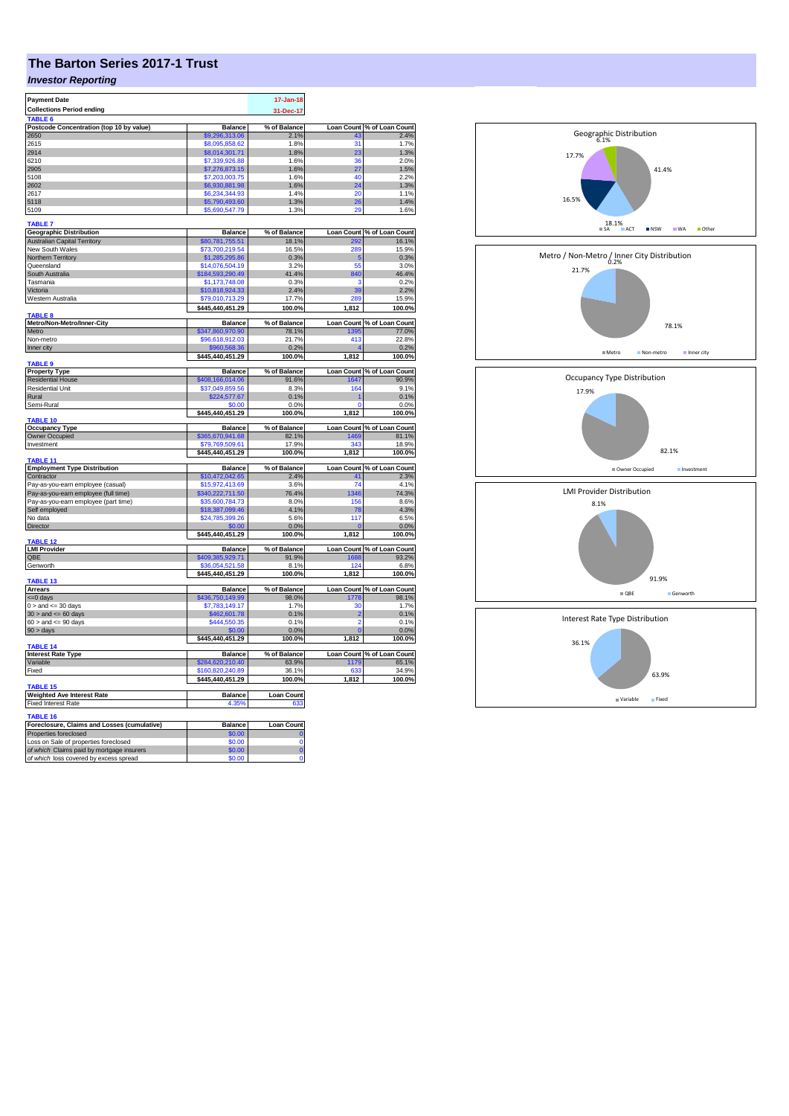## **The Barton Series 2017-1 Trust**

## *Investor Reporting*

| <b>Payment Date</b>                                  |                                     | $17 - Jan-18$         |                |                                     |
|------------------------------------------------------|-------------------------------------|-----------------------|----------------|-------------------------------------|
| <b>Collections Period ending</b>                     |                                     | 31-Dec-17             |                |                                     |
|                                                      |                                     |                       |                |                                     |
| Postcode Concentration (top 10 by value)             | <b>Balance</b>                      | % of Balance          |                | Loan Count % of Loan Count          |
| 2650<br>2615                                         | \$9,296,313,06                      | 2.1%<br>1.8%          | 31             | 2.4%<br>1.7%                        |
| 2914                                                 | \$8,095,858.62<br>\$8,014,301.71    | 1.8%                  | 23             | 1.3%                                |
| 6210                                                 | \$7,339,926.88                      | 1.6%                  | 36             | 2.0%                                |
| 2905                                                 | \$7,276,873.15                      | 1.6%                  | 27             | 1.5%                                |
| 5108                                                 | \$7,203,003.75                      | 1.6%                  | 40             | 2.2%                                |
| 2602                                                 | \$6,930,881.98                      | 1.6%                  | 24             | 1.3%                                |
| 2617                                                 | \$6,234,344.93                      | 1.4%                  | 20             | 1.1%                                |
| 5118                                                 | \$5,790,493.60                      | 1.3%                  | 26             | 1.4%                                |
| 5109                                                 | \$5,690,547.79                      | 1.3%                  | 29             | 1.6%                                |
| <b>TABLE 7</b><br><b>Geographic Distribution</b>     | <b>Balance</b>                      | % of Balance          |                | Loan Count % of Loan Count          |
| <b>Australian Capital Territory</b>                  | \$80,781,755.51                     | 18.1%                 | 292            | 16.1%                               |
| New South Wales                                      | \$73,700,219.54                     | 16.5%                 | 289            | 15.9%                               |
| Northern Territory                                   | \$1,285,295.86                      | 0.3%                  | -5             | 0.3%                                |
| Queensland                                           | \$14,076,504.19                     | 3.2%                  | 55             | 3.0%                                |
| South Australia                                      | \$184,593,290.49                    | 41.4%                 | 840            | 46.4%                               |
| Tasmania                                             | \$1,173,748.08                      | 0.3%                  | з              | 0.2%                                |
| Victoria                                             | \$10,818,924.33                     | 2.4%                  | 39             | 2.2%                                |
| Western Australia                                    | \$79,010,713.29                     | 17.7%                 | 289            | 15.9%                               |
| TABLE 8                                              | \$445,440,451.29                    | 100.0%                | 1,812          | 100.0%                              |
| Metro/Non-Metro/Inner-City                           | <b>Balance</b>                      | % of Balance          |                | Loan Count % of Loan Count          |
| Metro                                                | \$347,860,970.90                    | 78.1%                 | 1395           | 77.0%                               |
| Non-metro                                            | \$96,618,912.03                     | 21.7%                 | 413            | 22.8%                               |
| Inner city                                           |                                     | 0.2%                  |                | 0.2%                                |
|                                                      | \$445,440,451.29                    | 100.0%                | 1,812          | 100.0%                              |
| <b>TABLE 9</b>                                       |                                     |                       |                |                                     |
| <b>Property Type</b><br><b>Residential House</b>     | <b>Balance</b>                      | % of Balance<br>91.6% | 647            | Loan Count % of Loan Count<br>90.9% |
| <b>Residential Unit</b>                              | \$408,166,014.06<br>\$37,049,859.56 | 8.3%                  |                | 9.1%                                |
| Rural                                                | \$224,577.67                        | 0.1%                  | 164            | 0.1%                                |
| Semi-Rural                                           | \$0.00                              | 0.0%                  | 0              | 0.0%                                |
|                                                      | \$445,440,451.29                    | 100.0%                | 1,812          | 100.0%                              |
| TABLE 10                                             |                                     |                       |                |                                     |
| <b>Occupancy Type</b>                                | <b>Balance</b>                      | % of Balance          |                | Loan Count % of Loan Count          |
| <b>Owner Occupied</b>                                | \$365,670,941.68                    | 82.1%                 | 1469<br>343    | 81.1%                               |
| Investment                                           | \$79,769,509.61<br>\$445,440,451.29 | 17.9%<br>100.0%       | 1,812          | 18.9%<br>100.0%                     |
| TABLE 11                                             |                                     |                       |                |                                     |
| <b>Employment Type Distribution</b>                  | Balance                             | % of Balance          |                | Loan Count % of Loan Count          |
| Contractor                                           | \$10,472,042.65                     | 2.4%                  | 41             | 2.3%                                |
| Pay-as-you-earn employee (casual)                    | \$15,972,413.69                     | 3.6%                  | 74             | 4.1%                                |
| Pay-as-you-earn employee (full time)                 | \$340,222,711.50                    | 76.4%                 | 1346           | 74.3%                               |
| Pay-as-you-earn employee (part time)                 | \$35,600,784.73                     | 8.0%                  | 156            | 8.6%                                |
| Self employed<br>No data                             | \$18,387,099.46<br>\$24,785,399.26  | 4.1%<br>5.6%          | 78<br>117      | 4.3%<br>6.5%                        |
| Director                                             | \$0.00                              | 0.0%                  | $\mathbf{0}$   | 0.0%                                |
|                                                      | \$445,440,451.29                    | 100.0%                | 1,812          | 100.0%                              |
| TABLE 12<br><b>LMI Provider</b>                      | <b>Balance</b>                      | % of Balance          |                | Loan Count % of Loan Count          |
| QBE                                                  | \$409,385,929.71                    | 91.9%                 | 1688           | 93.2%                               |
| Genworth                                             | \$36,054,521.58                     | 8.1%                  | 124            | 6.8%                                |
|                                                      | \$445,440,451.29                    | 100.0%                | 1,812          | 100.0%                              |
| <b>TABLE 13</b>                                      |                                     |                       |                |                                     |
| <b>Arrears</b><br>$= 0$ days                         | <b>Balance</b><br>\$436,750,149.99  | % of Balance<br>98.0% | 1778           | Loan Count % of Loan Count<br>98.1% |
| $0 >$ and $\leq$ 30 days                             | \$7,783,149.17                      | 1.7%                  | 30             | 1.7%                                |
| $30$ > and <= 60 days                                | \$462,601.78                        | 0.1%                  | $\overline{2}$ | 0.1%                                |
| $60 >$ and $\leq 90$ days                            | \$444,550.35                        | 0.1%                  | $\overline{a}$ | 0.1%                                |
| $90 > \text{days}$                                   | \$0.00                              | 0.0%                  | O              | 0.0%                                |
|                                                      | \$445,440,451.29                    | 100.0%                | 1,812          | 100.0%                              |
| TABLE 14<br><b>Interest Rate Type</b>                | <b>Balance</b>                      | % of Balance          |                | Loan Count % of Loan Count          |
| Variable                                             | \$284,620,210.40                    | 63.9%                 | 1179           | 65.1%                               |
| Fixed                                                | \$160,820,240.89                    | 36.1%                 | 633            | 34.9%                               |
|                                                      | \$445,440,451.29                    | 100.0%                | 1,812          | 100.0%                              |
| <b>TABLE 15</b><br><b>Weighted Ave Interest Rate</b> | <b>Balance</b>                      | <b>Loan Count</b>     |                |                                     |
| <b>Fixed Interest Rate</b>                           | 4.35%                               | 633                   |                |                                     |
| <b>TABLE 16</b>                                      |                                     |                       |                |                                     |
| Foreclosure, Claims and Losses (cumulative)          | <b>Balance</b>                      | <b>Loan Count</b>     |                |                                     |
| Properties foreclosed                                | \$0.00                              | C                     |                |                                     |
| Loss on Sale of properties foreclosed                | \$0.00                              | O                     |                |                                     |
| of which Claims paid by mortgage insurers            | \$0.00                              | $\bf{0}$              |                |                                     |
| of which loss covered by excess spread               | \$0.00                              | $\overline{0}$        |                |                                     |